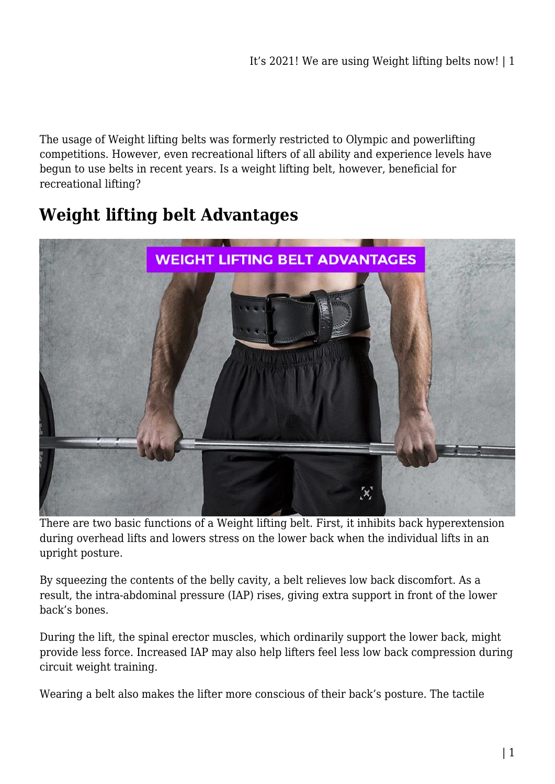The usage of Weight lifting belts was formerly restricted to Olympic and powerlifting competitions. However, even recreational lifters of all ability and experience levels have begun to use belts in recent years. Is a weight lifting belt, however, beneficial for recreational lifting?

# **Weight lifting belt Advantages**



There are two basic functions of a Weight lifting belt. First, it inhibits back hyperextension during overhead lifts and lowers stress on the lower back when the individual lifts in an upright posture.

By squeezing the contents of the belly cavity, a belt relieves low back discomfort. As a result, the intra-abdominal pressure (IAP) rises, giving extra support in front of the lower back's bones.

During the lift, the spinal erector muscles, which ordinarily support the lower back, might provide less force. Increased IAP may also help lifters feel less low back compression during circuit weight training.

Wearing a belt also makes the lifter more conscious of their back's posture. The tactile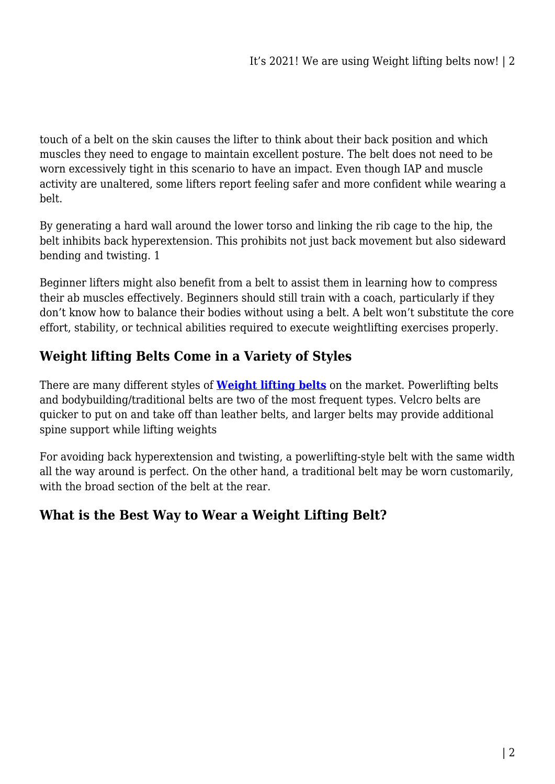touch of a belt on the skin causes the lifter to think about their back position and which muscles they need to engage to maintain excellent posture. The belt does not need to be worn excessively tight in this scenario to have an impact. Even though IAP and muscle activity are unaltered, some lifters report feeling safer and more confident while wearing a belt.

By generating a hard wall around the lower torso and linking the rib cage to the hip, the belt inhibits back hyperextension. This prohibits not just back movement but also sideward bending and twisting. 1

Beginner lifters might also benefit from a belt to assist them in learning how to compress their ab muscles effectively. Beginners should still train with a coach, particularly if they don't know how to balance their bodies without using a belt. A belt won't substitute the core effort, stability, or technical abilities required to execute weightlifting exercises properly.

## **Weight lifting Belts Come in a Variety of Styles**

There are many different styles of **[Weight lifting belts](https://fitnessequipments.com.au/weight-lifting-belt/)** on the market. Powerlifting belts and bodybuilding/traditional belts are two of the most frequent types. Velcro belts are quicker to put on and take off than leather belts, and larger belts may provide additional spine support while lifting weights

For avoiding back hyperextension and twisting, a powerlifting-style belt with the same width all the way around is perfect. On the other hand, a traditional belt may be worn customarily, with the broad section of the belt at the rear.

### **What is the Best Way to Wear a Weight Lifting Belt?**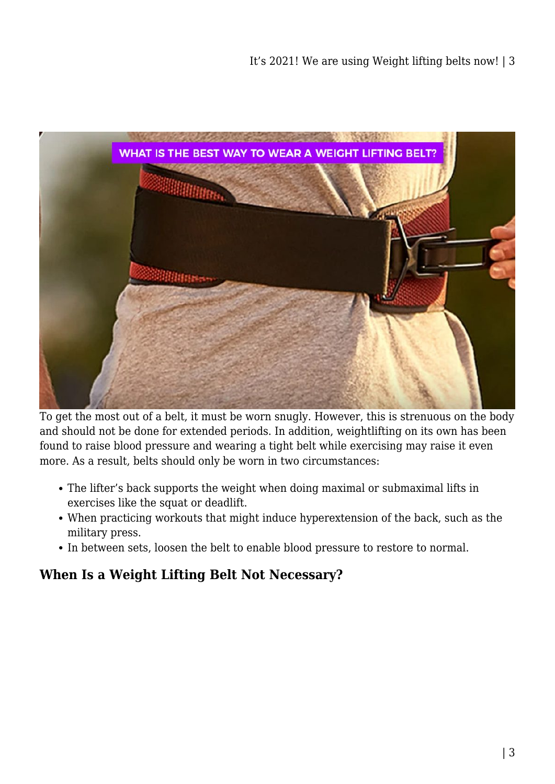

To get the most out of a belt, it must be worn snugly. However, this is strenuous on the body and should not be done for extended periods. In addition, weightlifting on its own has been found to raise blood pressure and wearing a tight belt while exercising may raise it even more. As a result, belts should only be worn in two circumstances:

- The lifter's back supports the weight when doing maximal or submaximal lifts in exercises like the squat or deadlift.
- When practicing workouts that might induce hyperextension of the back, such as the military press.
- In between sets, loosen the belt to enable blood pressure to restore to normal.

### **When Is a Weight Lifting Belt Not Necessary?**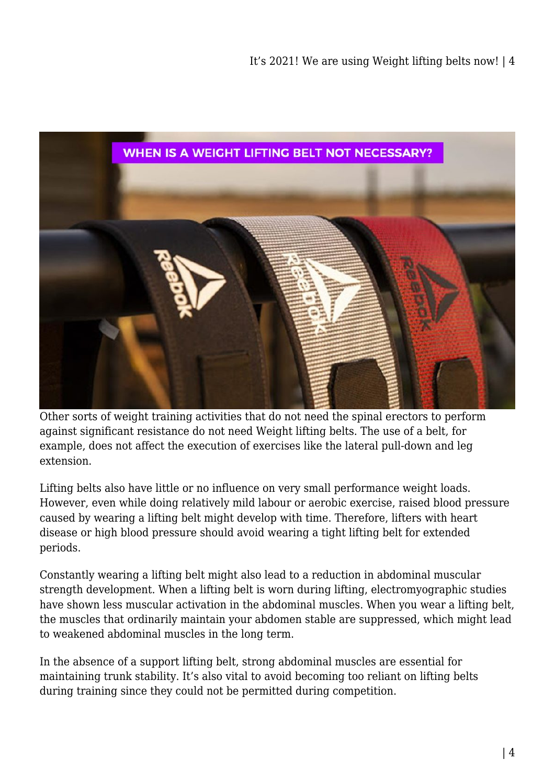

Other sorts of weight training activities that do not need the spinal erectors to perform against significant resistance do not need Weight lifting belts. The use of a belt, for example, does not affect the execution of exercises like the lateral pull-down and leg extension.

Lifting belts also have little or no influence on very small performance weight loads. However, even while doing relatively mild labour or aerobic exercise, raised blood pressure caused by wearing a lifting belt might develop with time. Therefore, lifters with heart disease or high blood pressure should avoid wearing a tight lifting belt for extended periods.

Constantly wearing a lifting belt might also lead to a reduction in abdominal muscular strength development. When a lifting belt is worn during lifting, electromyographic studies have shown less muscular activation in the abdominal muscles. When you wear a lifting belt, the muscles that ordinarily maintain your abdomen stable are suppressed, which might lead to weakened abdominal muscles in the long term.

In the absence of a support lifting belt, strong abdominal muscles are essential for maintaining trunk stability. It's also vital to avoid becoming too reliant on lifting belts during training since they could not be permitted during competition.